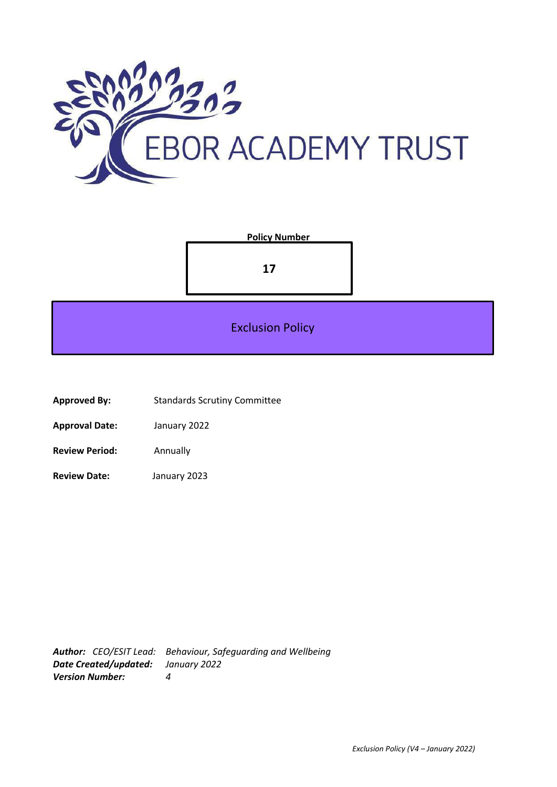



- **Approved By:** Standards Scrutiny Committee
- **Approval Date:** January 2022
- **Review Period:** Annually
- **Review Date:** January 2023

*Author: CEO/ESIT Lead: Behaviour, Safeguarding and Wellbeing Date Created/updated: January 2022 Version Number: 4*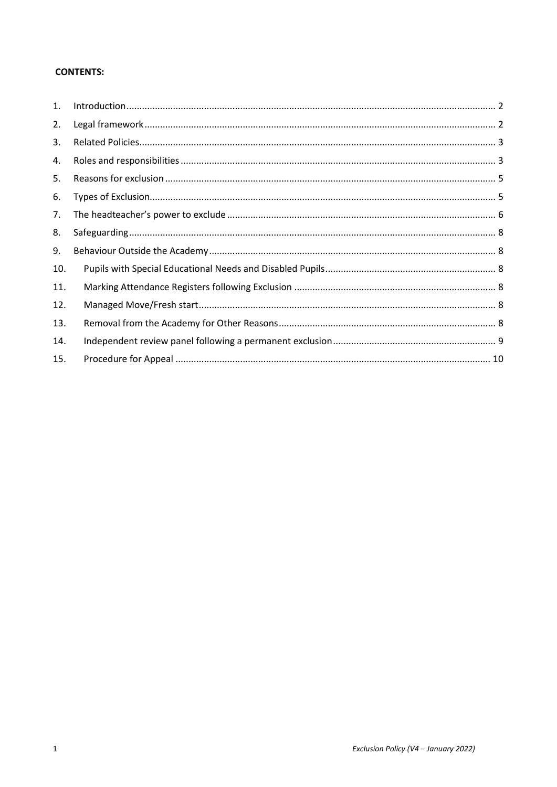# **CONTENTS:**

| 1.  |  |
|-----|--|
| 2.  |  |
| 3.  |  |
| 4.  |  |
| 5.  |  |
| 6.  |  |
| 7.  |  |
| 8.  |  |
| 9.  |  |
| 10. |  |
| 11. |  |
| 12. |  |
| 13. |  |
| 14. |  |
| 15. |  |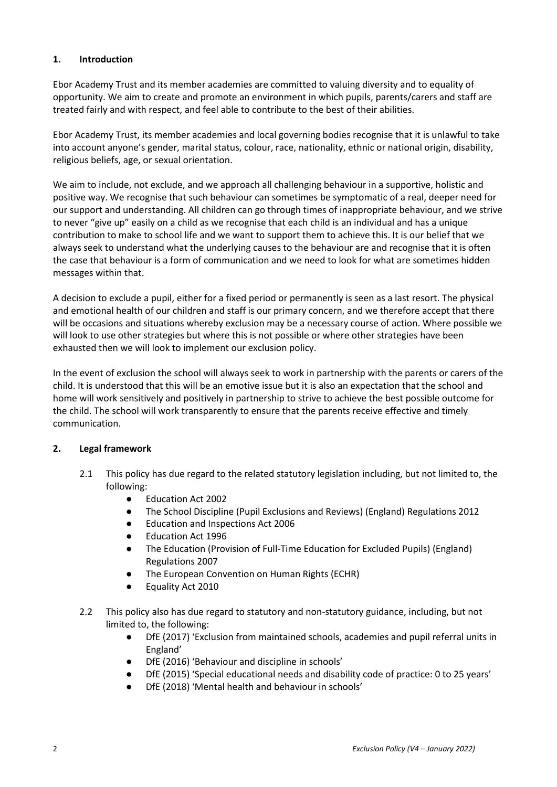## <span id="page-2-0"></span>**1. Introduction**

Ebor Academy Trust and its member academies are committed to valuing diversity and to equality of opportunity. We aim to create and promote an environment in which pupils, parents/carers and staff are treated fairly and with respect, and feel able to contribute to the best of their abilities.

Ebor Academy Trust, its member academies and local governing bodies recognise that it is unlawful to take into account anyone's gender, marital status, colour, race, nationality, ethnic or national origin, disability, religious beliefs, age, or sexual orientation.

We aim to include, not exclude, and we approach all challenging behaviour in a supportive, holistic and positive way. We recognise that such behaviour can sometimes be symptomatic of a real, deeper need for our support and understanding. All children can go through times of inappropriate behaviour, and we strive to never "give up" easily on a child as we recognise that each child is an individual and has a unique contribution to make to school life and we want to support them to achieve this. It is our belief that we always seek to understand what the underlying causes to the behaviour are and recognise that it is often the case that behaviour is a form of communication and we need to look for what are sometimes hidden messages within that.

A decision to exclude a pupil, either for a fixed period or permanently is seen as a last resort. The physical and emotional health of our children and staff is our primary concern, and we therefore accept that there will be occasions and situations whereby exclusion may be a necessary course of action. Where possible we will look to use other strategies but where this is not possible or where other strategies have been exhausted then we will look to implement our exclusion policy.

In the event of exclusion the school will always seek to work in partnership with the parents or carers of the child. It is understood that this will be an emotive issue but it is also an expectation that the school and home will work sensitively and positively in partnership to strive to achieve the best possible outcome for the child. The school will work transparently to ensure that the parents receive effective and timely communication.

# <span id="page-2-1"></span>**2. Legal framework**

- 2.1 This policy has due regard to the related statutory legislation including, but not limited to, the following:
	- Education Act 2002
	- The School Discipline (Pupil Exclusions and Reviews) (England) Regulations 2012
	- Education and Inspections Act 2006
	- Education Act 1996
	- The Education (Provision of Full-Time Education for Excluded Pupils) (England) Regulations 2007
	- The European Convention on Human Rights (ECHR)
	- Equality Act 2010
- 2.2 This policy also has due regard to statutory and non-statutory guidance, including, but not limited to, the following:
	- DfE (2017) 'Exclusion from maintained schools, academies and pupil referral units in England'
	- DfE (2016) 'Behaviour and discipline in schools'
	- DfE (2015) 'Special educational needs and disability code of practice: 0 to 25 years'
	- DfE (2018) 'Mental health and behaviour in schools'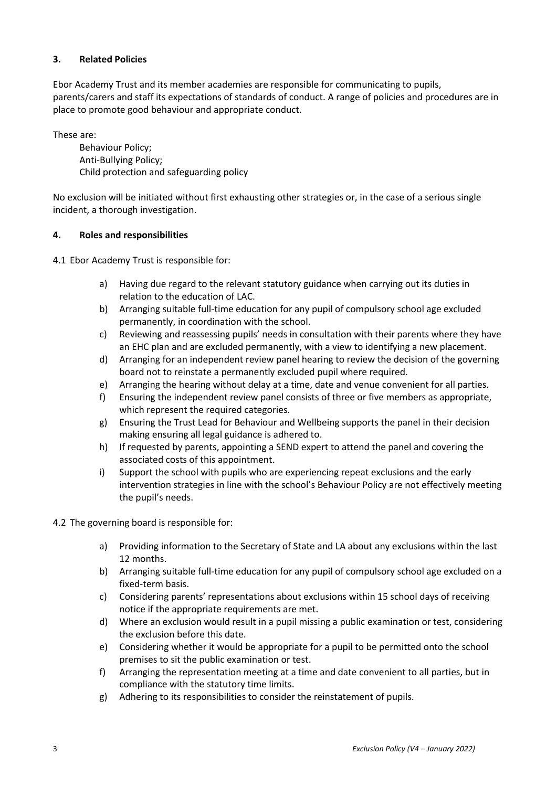# <span id="page-3-0"></span>**3. Related Policies**

Ebor Academy Trust and its member academies are responsible for communicating to pupils, parents/carers and staff its expectations of standards of conduct. A range of policies and procedures are in place to promote good behaviour and appropriate conduct.

These are:

Behaviour Policy; Anti-Bullying Policy; Child protection and safeguarding policy

No exclusion will be initiated without first exhausting other strategies or, in the case of a serious single incident, a thorough investigation.

## <span id="page-3-1"></span>**4. Roles and responsibilities**

4.1 Ebor Academy Trust is responsible for:

- a) Having due regard to the relevant statutory guidance when carrying out its duties in relation to the education of LAC.
- b) Arranging suitable full-time education for any pupil of compulsory school age excluded permanently, in coordination with the school.
- c) Reviewing and reassessing pupils' needs in consultation with their parents where they have an EHC plan and are excluded permanently, with a view to identifying a new placement.
- d) Arranging for an independent review panel hearing to review the decision of the governing board not to reinstate a permanently excluded pupil where required.
- e) Arranging the hearing without delay at a time, date and venue convenient for all parties.
- f) Ensuring the independent review panel consists of three or five members as appropriate, which represent the required categories.
- g) Ensuring the Trust Lead for Behaviour and Wellbeing supports the panel in their decision making ensuring all legal guidance is adhered to.
- h) If requested by parents, appointing a SEND expert to attend the panel and covering the associated costs of this appointment.
- i) Support the school with pupils who are experiencing repeat exclusions and the early intervention strategies in line with the school's Behaviour Policy are not effectively meeting the pupil's needs.
- 4.2 The governing board is responsible for:
	- a) Providing information to the Secretary of State and LA about any exclusions within the last 12 months.
	- b) Arranging suitable full-time education for any pupil of compulsory school age excluded on a fixed-term basis.
	- c) Considering parents' representations about exclusions within 15 school days of receiving notice if the appropriate requirements are met.
	- d) Where an exclusion would result in a pupil missing a public examination or test, considering the exclusion before this date.
	- e) Considering whether it would be appropriate for a pupil to be permitted onto the school premises to sit the public examination or test.
	- f) Arranging the representation meeting at a time and date convenient to all parties, but in compliance with the statutory time limits.
	- g) Adhering to its responsibilities to consider the reinstatement of pupils.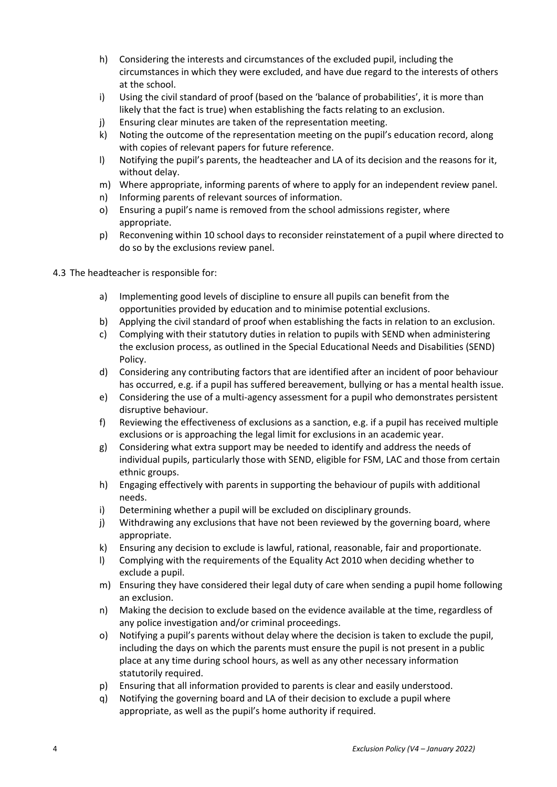- h) Considering the interests and circumstances of the excluded pupil, including the circumstances in which they were excluded, and have due regard to the interests of others at the school.
- i) Using the civil standard of proof (based on the 'balance of probabilities', it is more than likely that the fact is true) when establishing the facts relating to an exclusion.
- j) Ensuring clear minutes are taken of the representation meeting.
- k) Noting the outcome of the representation meeting on the pupil's education record, along with copies of relevant papers for future reference.
- l) Notifying the pupil's parents, the headteacher and LA of its decision and the reasons for it, without delay.
- m) Where appropriate, informing parents of where to apply for an independent review panel.
- n) Informing parents of relevant sources of information.
- o) Ensuring a pupil's name is removed from the school admissions register, where appropriate.
- p) Reconvening within 10 school days to reconsider reinstatement of a pupil where directed to do so by the exclusions review panel.
- 4.3 The headteacher is responsible for:
	- a) Implementing good levels of discipline to ensure all pupils can benefit from the opportunities provided by education and to minimise potential exclusions.
	- b) Applying the civil standard of proof when establishing the facts in relation to an exclusion.
	- c) Complying with their statutory duties in relation to pupils with SEND when administering the exclusion process, as outlined in the Special Educational Needs and Disabilities (SEND) Policy.
	- d) Considering any contributing factors that are identified after an incident of poor behaviour has occurred, e.g. if a pupil has suffered bereavement, bullying or has a mental health issue.
	- e) Considering the use of a multi-agency assessment for a pupil who demonstrates persistent disruptive behaviour.
	- f) Reviewing the effectiveness of exclusions as a sanction, e.g. if a pupil has received multiple exclusions or is approaching the legal limit for exclusions in an academic year.
	- g) Considering what extra support may be needed to identify and address the needs of individual pupils, particularly those with SEND, eligible for FSM, LAC and those from certain ethnic groups.
	- h) Engaging effectively with parents in supporting the behaviour of pupils with additional needs.
	- i) Determining whether a pupil will be excluded on disciplinary grounds.
	- j) Withdrawing any exclusions that have not been reviewed by the governing board, where appropriate.
	- k) Ensuring any decision to exclude is lawful, rational, reasonable, fair and proportionate.
	- l) Complying with the requirements of the Equality Act 2010 when deciding whether to exclude a pupil.
	- m) Ensuring they have considered their legal duty of care when sending a pupil home following an exclusion.
	- n) Making the decision to exclude based on the evidence available at the time, regardless of any police investigation and/or criminal proceedings.
	- o) Notifying a pupil's parents without delay where the decision is taken to exclude the pupil, including the days on which the parents must ensure the pupil is not present in a public place at any time during school hours, as well as any other necessary information statutorily required.
	- p) Ensuring that all information provided to parents is clear and easily understood.
	- q) Notifying the governing board and LA of their decision to exclude a pupil where appropriate, as well as the pupil's home authority if required.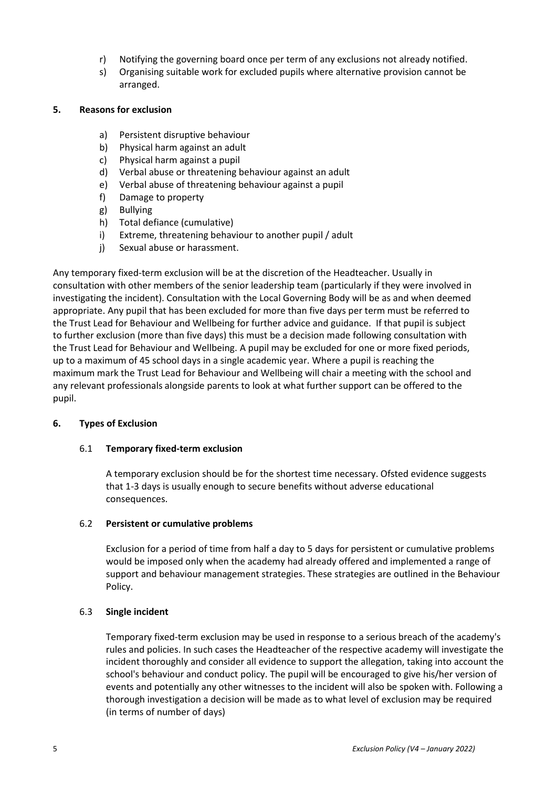- r) Notifying the governing board once per term of any exclusions not already notified.
- s) Organising suitable work for excluded pupils where alternative provision cannot be arranged.

### <span id="page-5-0"></span>**5. Reasons for exclusion**

- a) Persistent disruptive behaviour
- b) Physical harm against an adult
- c) Physical harm against a pupil
- d) Verbal abuse or threatening behaviour against an adult
- e) Verbal abuse of threatening behaviour against a pupil
- f) Damage to property
- g) Bullying
- h) Total defiance (cumulative)
- i) Extreme, threatening behaviour to another pupil / adult
- j) Sexual abuse or harassment.

Any temporary fixed-term exclusion will be at the discretion of the Headteacher. Usually in consultation with other members of the senior leadership team (particularly if they were involved in investigating the incident). Consultation with the Local Governing Body will be as and when deemed appropriate. Any pupil that has been excluded for more than five days per term must be referred to the Trust Lead for Behaviour and Wellbeing for further advice and guidance. If that pupil is subject to further exclusion (more than five days) this must be a decision made following consultation with the Trust Lead for Behaviour and Wellbeing. A pupil may be excluded for one or more fixed periods, up to a maximum of 45 school days in a single academic year. Where a pupil is reaching the maximum mark the Trust Lead for Behaviour and Wellbeing will chair a meeting with the school and any relevant professionals alongside parents to look at what further support can be offered to the pupil.

### <span id="page-5-1"></span>**6. Types of Exclusion**

### 6.1 **Temporary fixed-term exclusion**

A temporary exclusion should be for the shortest time necessary. Ofsted evidence suggests that 1-3 days is usually enough to secure benefits without adverse educational consequences.

### 6.2 **Persistent or cumulative problems**

Exclusion for a period of time from half a day to 5 days for persistent or cumulative problems would be imposed only when the academy had already offered and implemented a range of support and behaviour management strategies. These strategies are outlined in the Behaviour Policy.

### 6.3 **Single incident**

Temporary fixed-term exclusion may be used in response to a serious breach of the academy's rules and policies. In such cases the Headteacher of the respective academy will investigate the incident thoroughly and consider all evidence to support the allegation, taking into account the school's behaviour and conduct policy. The pupil will be encouraged to give his/her version of events and potentially any other witnesses to the incident will also be spoken with. Following a thorough investigation a decision will be made as to what level of exclusion may be required (in terms of number of days)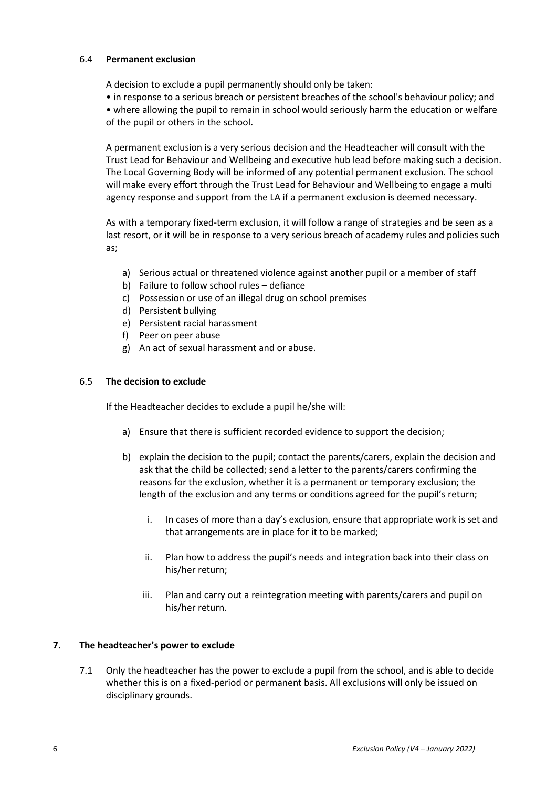### 6.4 **Permanent exclusion**

A decision to exclude a pupil permanently should only be taken:

- in response to a serious breach or persistent breaches of the school's behaviour policy; and
- where allowing the pupil to remain in school would seriously harm the education or welfare of the pupil or others in the school.

A permanent exclusion is a very serious decision and the Headteacher will consult with the Trust Lead for Behaviour and Wellbeing and executive hub lead before making such a decision. The Local Governing Body will be informed of any potential permanent exclusion. The school will make every effort through the Trust Lead for Behaviour and Wellbeing to engage a multi agency response and support from the LA if a permanent exclusion is deemed necessary.

As with a temporary fixed-term exclusion, it will follow a range of strategies and be seen as a last resort, or it will be in response to a very serious breach of academy rules and policies such as;

- a) Serious actual or threatened violence against another pupil or a member of staff
- b) Failure to follow school rules defiance
- c) Possession or use of an illegal drug on school premises
- d) Persistent bullying
- e) Persistent racial harassment
- f) Peer on peer abuse
- g) An act of sexual harassment and or abuse.

## 6.5 **The decision to exclude**

If the Headteacher decides to exclude a pupil he/she will:

- a) Ensure that there is sufficient recorded evidence to support the decision;
- b) explain the decision to the pupil; contact the parents/carers, explain the decision and ask that the child be collected; send a letter to the parents/carers confirming the reasons for the exclusion, whether it is a permanent or temporary exclusion; the length of the exclusion and any terms or conditions agreed for the pupil's return;
	- i. In cases of more than a day's exclusion, ensure that appropriate work is set and that arrangements are in place for it to be marked;
	- ii. Plan how to address the pupil's needs and integration back into their class on his/her return;
	- iii. Plan and carry out a reintegration meeting with parents/carers and pupil on his/her return.

### <span id="page-6-0"></span>**7. The headteacher's power to exclude**

7.1 Only the headteacher has the power to exclude a pupil from the school, and is able to decide whether this is on a fixed-period or permanent basis. All exclusions will only be issued on disciplinary grounds.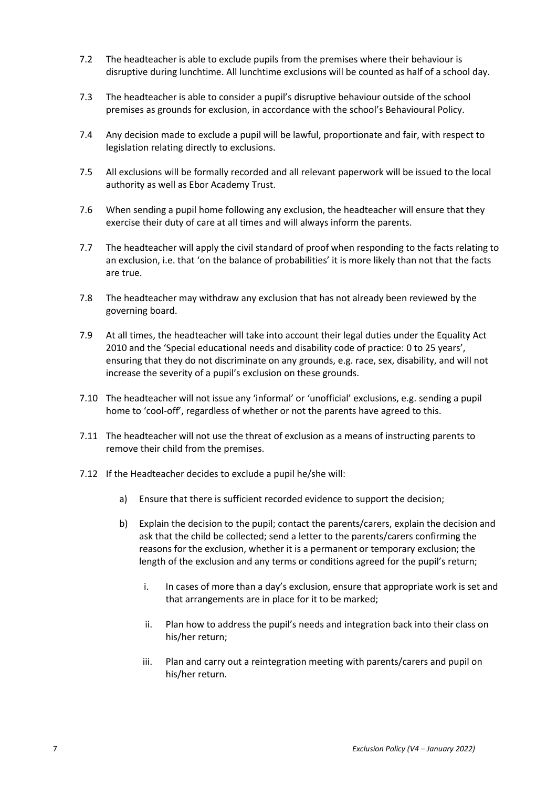- 7.2 The headteacher is able to exclude pupils from the premises where their behaviour is disruptive during lunchtime. All lunchtime exclusions will be counted as half of a school day.
- 7.3 The headteacher is able to consider a pupil's disruptive behaviour outside of the school premises as grounds for exclusion, in accordance with the school's Behavioural Policy.
- 7.4 Any decision made to exclude a pupil will be lawful, proportionate and fair, with respect to legislation relating directly to exclusions.
- 7.5 All exclusions will be formally recorded and all relevant paperwork will be issued to the local authority as well as Ebor Academy Trust.
- 7.6 When sending a pupil home following any exclusion, the headteacher will ensure that they exercise their duty of care at all times and will always inform the parents.
- 7.7 The headteacher will apply the civil standard of proof when responding to the facts relating to an exclusion, i.e. that 'on the balance of probabilities' it is more likely than not that the facts are true.
- 7.8 The headteacher may withdraw any exclusion that has not already been reviewed by the governing board.
- 7.9 At all times, the headteacher will take into account their legal duties under the Equality Act 2010 and the 'Special educational needs and disability code of practice: 0 to 25 years', ensuring that they do not discriminate on any grounds, e.g. race, sex, disability, and will not increase the severity of a pupil's exclusion on these grounds.
- 7.10 The headteacher will not issue any 'informal' or 'unofficial' exclusions, e.g. sending a pupil home to 'cool-off', regardless of whether or not the parents have agreed to this.
- 7.11 The headteacher will not use the threat of exclusion as a means of instructing parents to remove their child from the premises.
- 7.12 If the Headteacher decides to exclude a pupil he/she will:
	- a) Ensure that there is sufficient recorded evidence to support the decision;
	- b) Explain the decision to the pupil; contact the parents/carers, explain the decision and ask that the child be collected; send a letter to the parents/carers confirming the reasons for the exclusion, whether it is a permanent or temporary exclusion; the length of the exclusion and any terms or conditions agreed for the pupil's return;
		- i. In cases of more than a day's exclusion, ensure that appropriate work is set and that arrangements are in place for it to be marked;
		- ii. Plan how to address the pupil's needs and integration back into their class on his/her return;
		- iii. Plan and carry out a reintegration meeting with parents/carers and pupil on his/her return.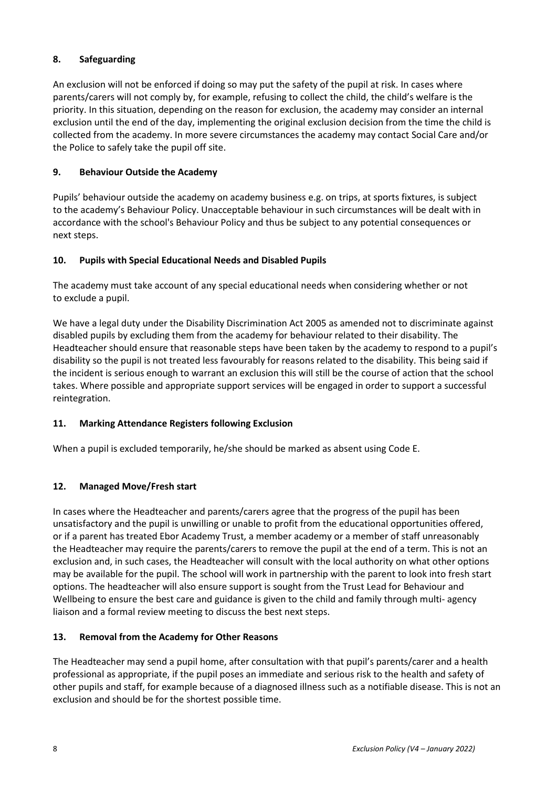# <span id="page-8-0"></span>**8. Safeguarding**

An exclusion will not be enforced if doing so may put the safety of the pupil at risk. In cases where parents/carers will not comply by, for example, refusing to collect the child, the child's welfare is the priority. In this situation, depending on the reason for exclusion, the academy may consider an internal exclusion until the end of the day, implementing the original exclusion decision from the time the child is collected from the academy. In more severe circumstances the academy may contact Social Care and/or the Police to safely take the pupil off site.

# <span id="page-8-1"></span>**9. Behaviour Outside the Academy**

Pupils' behaviour outside the academy on academy business e.g. on trips, at sports fixtures, is subject to the academy's Behaviour Policy. Unacceptable behaviour in such circumstances will be dealt with in accordance with the school's Behaviour Policy and thus be subject to any potential consequences or next steps.

# <span id="page-8-2"></span>**10. Pupils with Special Educational Needs and Disabled Pupils**

The academy must take account of any special educational needs when considering whether or not to exclude a pupil.

We have a legal duty under the Disability Discrimination Act 2005 as amended not to discriminate against disabled pupils by excluding them from the academy for behaviour related to their disability. The Headteacher should ensure that reasonable steps have been taken by the academy to respond to a pupil's disability so the pupil is not treated less favourably for reasons related to the disability. This being said if the incident is serious enough to warrant an exclusion this will still be the course of action that the school takes. Where possible and appropriate support services will be engaged in order to support a successful reintegration.

# <span id="page-8-3"></span>**11. Marking Attendance Registers following Exclusion**

When a pupil is excluded temporarily, he/she should be marked as absent using Code E.

# <span id="page-8-4"></span>**12. Managed Move/Fresh start**

In cases where the Headteacher and parents/carers agree that the progress of the pupil has been unsatisfactory and the pupil is unwilling or unable to profit from the educational opportunities offered, or if a parent has treated Ebor Academy Trust, a member academy or a member of staff unreasonably the Headteacher may require the parents/carers to remove the pupil at the end of a term. This is not an exclusion and, in such cases, the Headteacher will consult with the local authority on what other options may be available for the pupil. The school will work in partnership with the parent to look into fresh start options. The headteacher will also ensure support is sought from the Trust Lead for Behaviour and Wellbeing to ensure the best care and guidance is given to the child and family through multi- agency liaison and a formal review meeting to discuss the best next steps.

# <span id="page-8-5"></span>**13. Removal from the Academy for Other Reasons**

The Headteacher may send a pupil home, after consultation with that pupil's parents/carer and a health professional as appropriate, if the pupil poses an immediate and serious risk to the health and safety of other pupils and staff, for example because of a diagnosed illness such as a notifiable disease. This is not an exclusion and should be for the shortest possible time.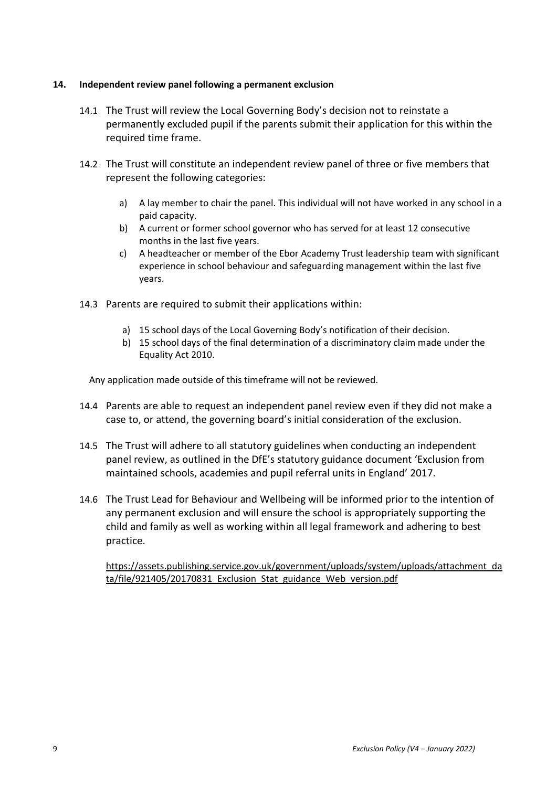## <span id="page-9-0"></span>**14. Independent review panel following a permanent exclusion**

- 14.1 The Trust will review the Local Governing Body's decision not to reinstate a permanently excluded pupil if the parents submit their application for this within the required time frame.
- 14.2 The Trust will constitute an independent review panel of three or five members that represent the following categories:
	- a) A lay member to chair the panel. This individual will not have worked in any school in a paid capacity.
	- b) A current or former school governor who has served for at least 12 consecutive months in the last five years.
	- c) A headteacher or member of the Ebor Academy Trust leadership team with significant experience in school behaviour and safeguarding management within the last five years.
- 14.3 Parents are required to submit their applications within:
	- a) 15 school days of the Local Governing Body's notification of their decision.
	- b) 15 school days of the final determination of a discriminatory claim made under the Equality Act 2010.

Any application made outside of this timeframe will not be reviewed.

- 14.4 Parents are able to request an independent panel review even if they did not make a case to, or attend, the governing board's initial consideration of the exclusion.
- 14.5 The Trust will adhere to all statutory guidelines when conducting an independent panel review, as outlined in the DfE's statutory guidance document 'Exclusion from maintained schools, academies and pupil referral units in England' 2017.
- 14.6 The Trust Lead for Behaviour and Wellbeing will be informed prior to the intention of any permanent exclusion and will ensure the school is appropriately supporting the child and family as well as working within all legal framework and adhering to best practice.

[https://assets.publishing.service.gov.uk/government/uploads/system/uploads/attachment\\_da](https://assets.publishing.service.gov.uk/government/uploads/system/uploads/attachment_data/file/921405/20170831_Exclusion_Stat_guidance_Web_version.pdf) ta/file/921405/20170831 Exclusion Stat guidance Web version.pdf